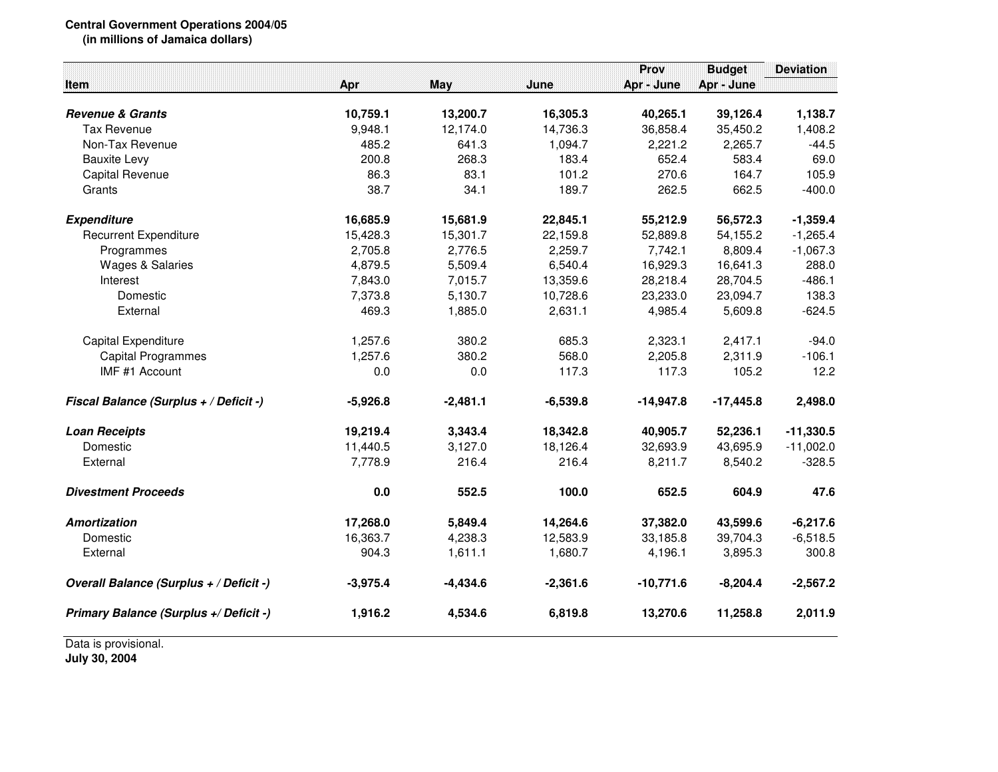## **Central Government Operations 2004/05**

**(in millions of Jamaica dollars)**

|                                         |            |            |            | Prov        | <b>Budget</b> | <b>Deviation</b> |
|-----------------------------------------|------------|------------|------------|-------------|---------------|------------------|
| <b>Item</b>                             | Apr        | <b>May</b> | June       | Apr - June  | Apr - June    |                  |
| <b>Revenue &amp; Grants</b>             | 10,759.1   | 13,200.7   | 16,305.3   | 40,265.1    | 39,126.4      | 1,138.7          |
| <b>Tax Revenue</b>                      | 9,948.1    | 12,174.0   | 14,736.3   | 36,858.4    | 35,450.2      | 1,408.2          |
| Non-Tax Revenue                         | 485.2      | 641.3      | 1,094.7    | 2,221.2     | 2,265.7       | $-44.5$          |
| <b>Bauxite Levy</b>                     | 200.8      | 268.3      | 183.4      | 652.4       | 583.4         | 69.0             |
| <b>Capital Revenue</b>                  | 86.3       | 83.1       | 101.2      | 270.6       | 164.7         | 105.9            |
| Grants                                  | 38.7       | 34.1       | 189.7      | 262.5       | 662.5         | $-400.0$         |
| <b>Expenditure</b>                      | 16,685.9   | 15,681.9   | 22,845.1   | 55,212.9    | 56,572.3      | $-1,359.4$       |
| <b>Recurrent Expenditure</b>            | 15,428.3   | 15,301.7   | 22,159.8   | 52,889.8    | 54,155.2      | $-1,265.4$       |
| Programmes                              | 2,705.8    | 2,776.5    | 2,259.7    | 7,742.1     | 8,809.4       | $-1,067.3$       |
| <b>Wages &amp; Salaries</b>             | 4,879.5    | 5,509.4    | 6,540.4    | 16,929.3    | 16,641.3      | 288.0            |
| Interest                                | 7,843.0    | 7,015.7    | 13,359.6   | 28,218.4    | 28,704.5      | $-486.1$         |
| Domestic                                | 7,373.8    | 5,130.7    | 10,728.6   | 23,233.0    | 23,094.7      | 138.3            |
| External                                | 469.3      | 1,885.0    | 2,631.1    | 4,985.4     | 5,609.8       | $-624.5$         |
| Capital Expenditure                     | 1,257.6    | 380.2      | 685.3      | 2,323.1     | 2,417.1       | $-94.0$          |
| <b>Capital Programmes</b>               | 1,257.6    | 380.2      | 568.0      | 2,205.8     | 2,311.9       | $-106.1$         |
| IMF #1 Account                          | 0.0        | 0.0        | 117.3      | 117.3       | 105.2         | 12.2             |
| Fiscal Balance (Surplus + / Deficit -)  | $-5,926.8$ | $-2,481.1$ | $-6,539.8$ | $-14,947.8$ | $-17,445.8$   | 2,498.0          |
| <b>Loan Receipts</b>                    | 19,219.4   | 3,343.4    | 18,342.8   | 40,905.7    | 52,236.1      | $-11,330.5$      |
| Domestic                                | 11,440.5   | 3,127.0    | 18,126.4   | 32,693.9    | 43,695.9      | $-11,002.0$      |
| External                                | 7,778.9    | 216.4      | 216.4      | 8,211.7     | 8,540.2       | $-328.5$         |
| <b>Divestment Proceeds</b>              | 0.0        | 552.5      | 100.0      | 652.5       | 604.9         | 47.6             |
| <b>Amortization</b>                     | 17,268.0   | 5,849.4    | 14,264.6   | 37,382.0    | 43,599.6      | $-6,217.6$       |
| Domestic                                | 16,363.7   | 4,238.3    | 12,583.9   | 33,185.8    | 39,704.3      | $-6,518.5$       |
| External                                | 904.3      | 1,611.1    | 1,680.7    | 4,196.1     | 3,895.3       | 300.8            |
| Overall Balance (Surplus + / Deficit -) | $-3,975.4$ | $-4,434.6$ | $-2,361.6$ | $-10,771.6$ | $-8,204.4$    | $-2,567.2$       |
| Primary Balance (Surplus +/ Deficit -)  | 1,916.2    | 4,534.6    | 6,819.8    | 13,270.6    | 11,258.8      | 2,011.9          |

Data is provisional.**July 30, 2004**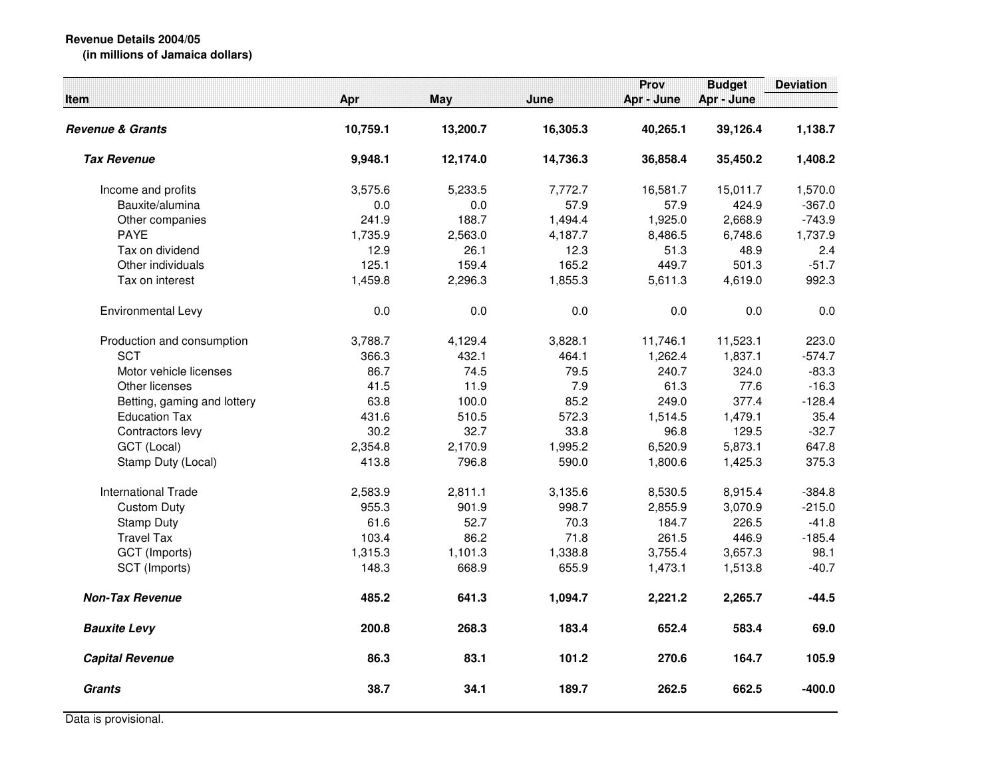|                             |          |          |          | Prov       | <b>Budget</b> | <b>Deviation</b> |
|-----------------------------|----------|----------|----------|------------|---------------|------------------|
| ltem                        | Apr      | May      | June     | Apr - June | Apr - June    |                  |
| Revenue & Grants            | 10,759.1 | 13,200.7 | 16,305.3 | 40,265.1   | 39,126.4      | 1,138.7          |
| <b>Tax Revenue</b>          | 9,948.1  | 12,174.0 | 14,736.3 | 36,858.4   | 35,450.2      | 1,408.2          |
| Income and profits          | 3,575.6  | 5,233.5  | 7,772.7  | 16,581.7   | 15,011.7      | 1,570.0          |
| Bauxite/alumina             | 0.0      | 0.0      | 57.9     | 57.9       | 424.9         | $-367.0$         |
| Other companies             | 241.9    | 188.7    | 1,494.4  | 1,925.0    | 2,668.9       | $-743.9$         |
| <b>PAYE</b>                 | 1,735.9  | 2,563.0  | 4,187.7  | 8,486.5    | 6,748.6       | 1,737.9          |
| Tax on dividend             | 12.9     | 26.1     | 12.3     | 51.3       | 48.9          | 2.4              |
| Other individuals           | 125.1    | 159.4    | 165.2    | 449.7      | 501.3         | $-51.7$          |
| Tax on interest             | 1,459.8  | 2,296.3  | 1,855.3  | 5,611.3    | 4,619.0       | 992.3            |
| Environmental Levy          | 0.0      | 0.0      | 0.0      | 0.0        | 0.0           | 0.0              |
| Production and consumption  | 3,788.7  | 4,129.4  | 3,828.1  | 11,746.1   | 11,523.1      | 223.0            |
| <b>SCT</b>                  | 366.3    | 432.1    | 464.1    | 1,262.4    | 1,837.1       | $-574.7$         |
| Motor vehicle licenses      | 86.7     | 74.5     | 79.5     | 240.7      | 324.0         | $-83.3$          |
| Other licenses              | 41.5     | 11.9     | 7.9      | 61.3       | 77.6          | $-16.3$          |
| Betting, gaming and lottery | 63.8     | 100.0    | 85.2     | 249.0      | 377.4         | $-128.4$         |
| <b>Education Tax</b>        | 431.6    | 510.5    | 572.3    | 1,514.5    | 1,479.1       | 35.4             |
| Contractors levy            | 30.2     | 32.7     | 33.8     | 96.8       | 129.5         | $-32.7$          |
| GCT (Local)                 | 2,354.8  | 2,170.9  | 1,995.2  | 6,520.9    | 5,873.1       | 647.8            |
| Stamp Duty (Local)          | 413.8    | 796.8    | 590.0    | 1,800.6    | 1,425.3       | 375.3            |
| <b>International Trade</b>  | 2,583.9  | 2,811.1  | 3,135.6  | 8,530.5    | 8,915.4       | $-384.8$         |
| <b>Custom Duty</b>          | 955.3    | 901.9    | 998.7    | 2,855.9    | 3,070.9       | $-215.0$         |
| <b>Stamp Duty</b>           | 61.6     | 52.7     | 70.3     | 184.7      | 226.5         | $-41.8$          |
| <b>Travel Tax</b>           | 103.4    | 86.2     | 71.8     | 261.5      | 446.9         | $-185.4$         |
| GCT (Imports)               | 1,315.3  | 1,101.3  | 1,338.8  | 3,755.4    | 3,657.3       | 98.1             |
| SCT (Imports)               | 148.3    | 668.9    | 655.9    | 1,473.1    | 1,513.8       | $-40.7$          |
| <b>Non-Tax Revenue</b>      | 485.2    | 641.3    | 1,094.7  | 2,221.2    | 2,265.7       | $-44.5$          |
| <b>Bauxite Levy</b>         | 200.8    | 268.3    | 183.4    | 652.4      | 583.4         | 69.0             |
| <b>Capital Revenue</b>      | 86.3     | 83.1     | 101.2    | 270.6      | 164.7         | 105.9            |
| <b>Grants</b>               | 38.7     | 34.1     | 189.7    | 262.5      | 662.5         | $-400.0$         |